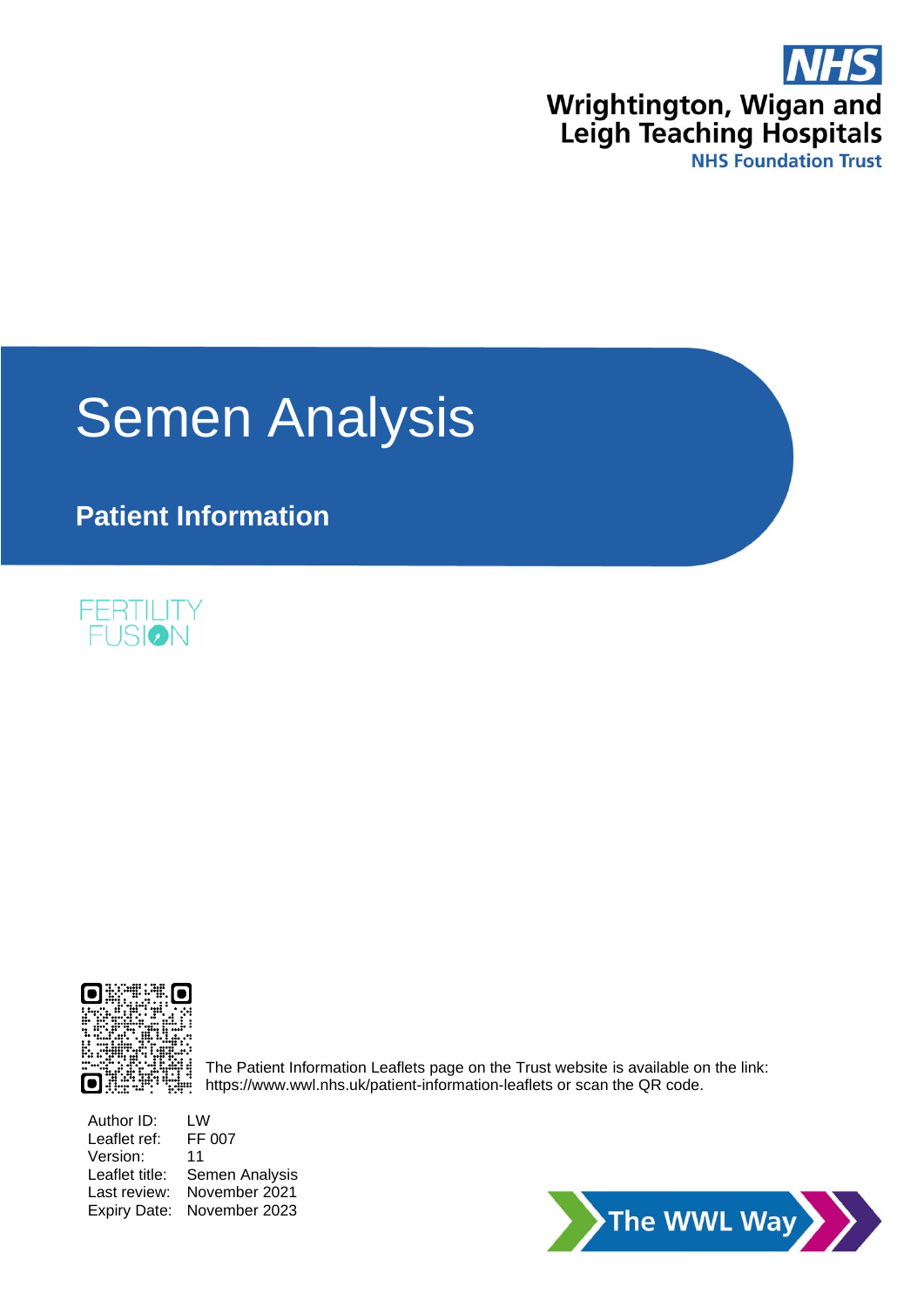

# **Semen Analysis**

**Patient Information**





The Patient Information Leaflets page on the Trust website is available on the link: https://www.wwl.nhs.uk/patient-information-leaflets or scan the QR code.

Author ID: LW<br>Leaflet ref: FF 007 Leaflet ref: Version: 11 Leaflet title: Semen Analysis Last review: November 2021 Expiry Date: November 2023

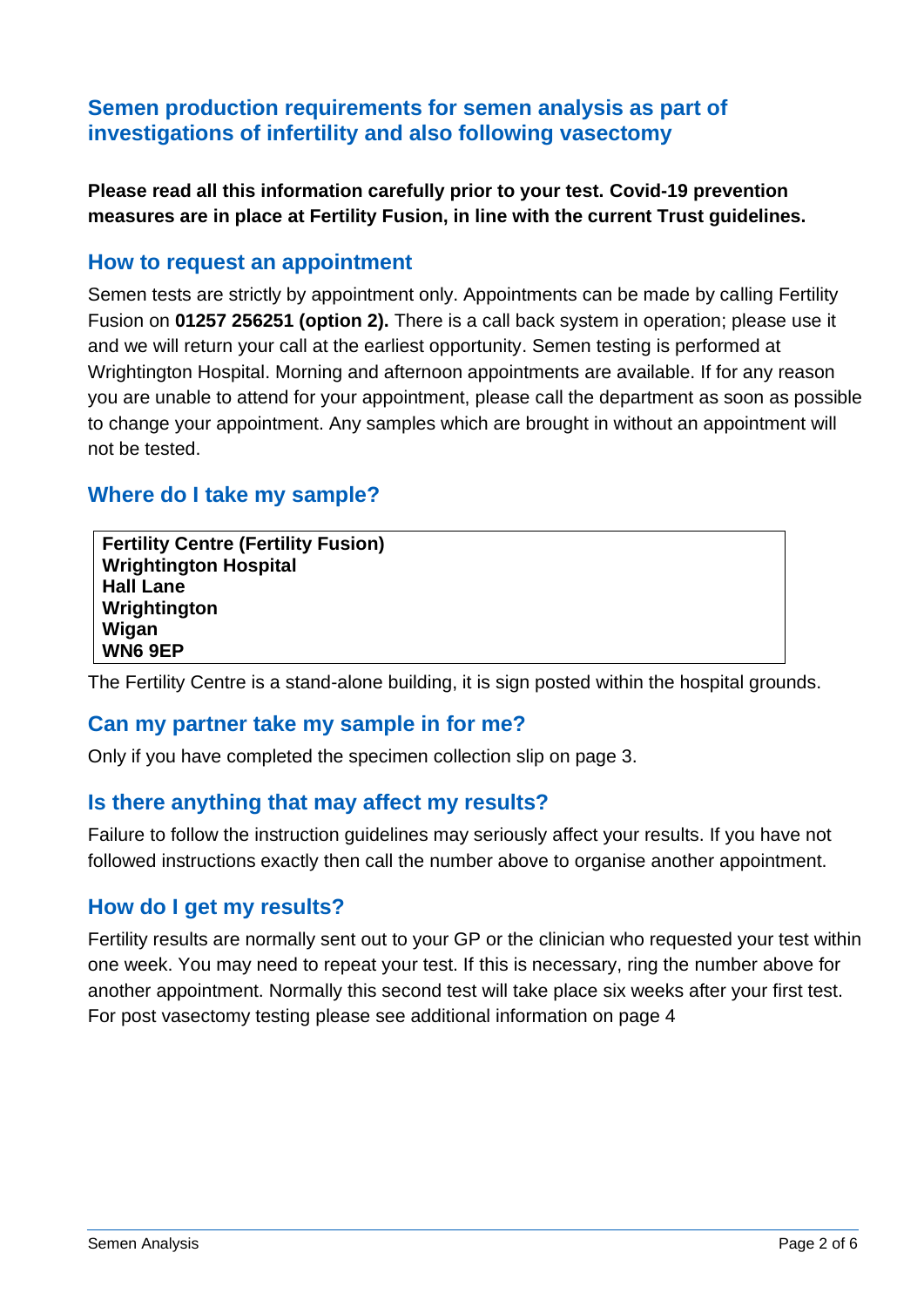## **Semen production requirements for semen analysis as part of investigations of infertility and also following vasectomy**

**Please read all this information carefully prior to your test. Covid-19 prevention measures are in place at Fertility Fusion, in line with the current Trust guidelines.**

## **How to request an appointment**

Semen tests are strictly by appointment only. Appointments can be made by calling Fertility Fusion on **01257 256251 (option 2).** There is a call back system in operation; please use it and we will return your call at the earliest opportunity. Semen testing is performed at Wrightington Hospital. Morning and afternoon appointments are available. If for any reason you are unable to attend for your appointment, please call the department as soon as possible to change your appointment. Any samples which are brought in without an appointment will not be tested.

## **Where do I take my sample?**

**Fertility Centre (Fertility Fusion) Wrightington Hospital Hall Lane Wrightington Wigan WN6 9EP**

The Fertility Centre is a stand-alone building, it is sign posted within the hospital grounds.

## **Can my partner take my sample in for me?**

Only if you have completed the specimen collection slip on page 3.

## **Is there anything that may affect my results?**

Failure to follow the instruction guidelines may seriously affect your results. If you have not followed instructions exactly then call the number above to organise another appointment.

## **How do I get my results?**

Fertility results are normally sent out to your GP or the clinician who requested your test within one week. You may need to repeat your test. If this is necessary, ring the number above for another appointment. Normally this second test will take place six weeks after your first test. For post vasectomy testing please see additional information on page 4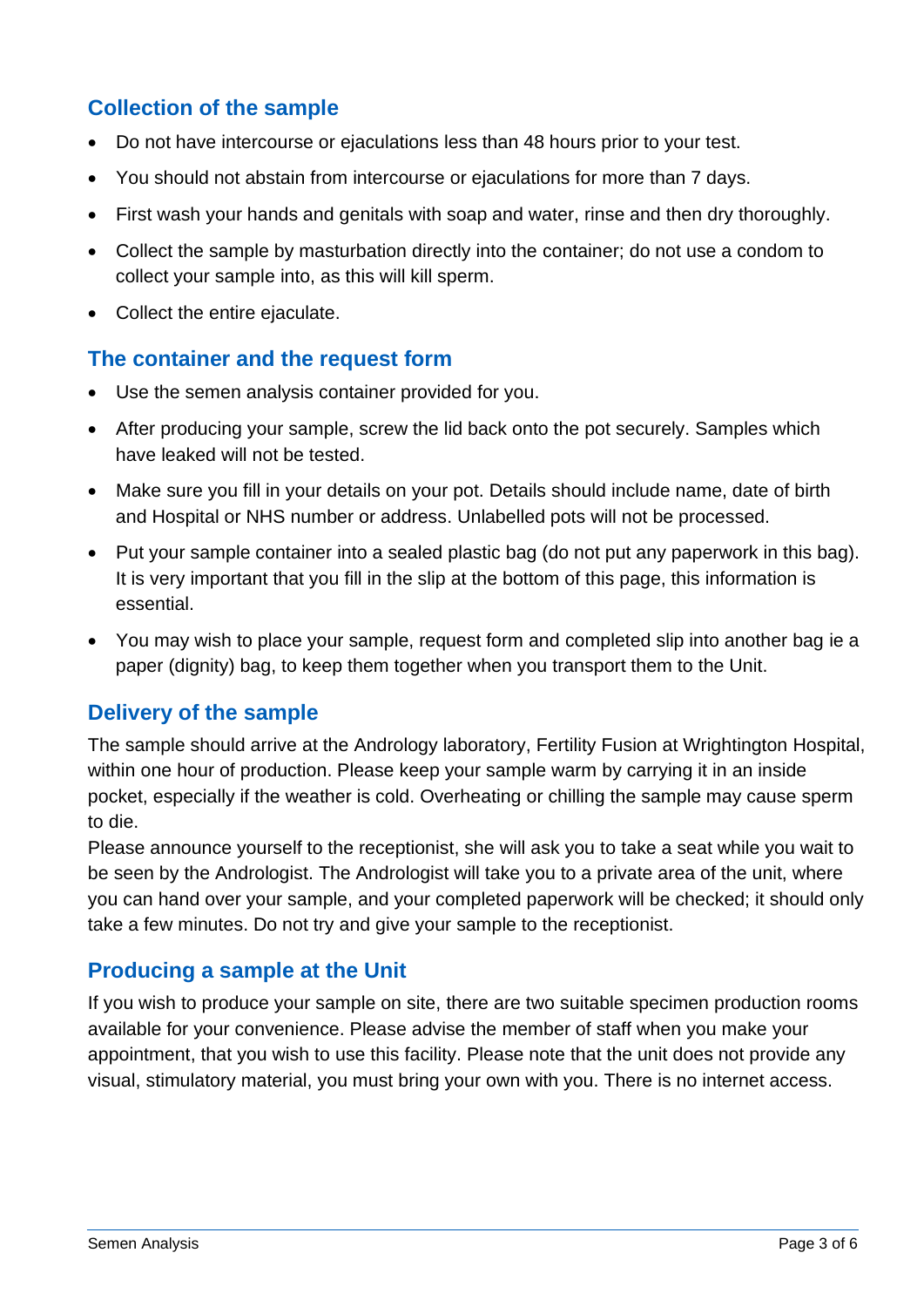# **Collection of the sample**

- Do not have intercourse or ejaculations less than 48 hours prior to your test.
- You should not abstain from intercourse or ejaculations for more than 7 days.
- First wash your hands and genitals with soap and water, rinse and then dry thoroughly.
- Collect the sample by masturbation directly into the container; do not use a condom to collect your sample into, as this will kill sperm.
- Collect the entire ejaculate.

## **The container and the request form**

- Use the semen analysis container provided for you.
- After producing your sample, screw the lid back onto the pot securely. Samples which have leaked will not be tested.
- Make sure you fill in your details on your pot. Details should include name, date of birth and Hospital or NHS number or address. Unlabelled pots will not be processed.
- Put your sample container into a sealed plastic bag (do not put any paperwork in this bag). It is very important that you fill in the slip at the bottom of this page, this information is essential.
- You may wish to place your sample, request form and completed slip into another bag ie a paper (dignity) bag, to keep them together when you transport them to the Unit.

## **Delivery of the sample**

The sample should arrive at the Andrology laboratory, Fertility Fusion at Wrightington Hospital, within one hour of production. Please keep your sample warm by carrying it in an inside pocket, especially if the weather is cold. Overheating or chilling the sample may cause sperm to die.

Please announce yourself to the receptionist, she will ask you to take a seat while you wait to be seen by the Andrologist. The Andrologist will take you to a private area of the unit, where you can hand over your sample, and your completed paperwork will be checked; it should only take a few minutes. Do not try and give your sample to the receptionist.

## **Producing a sample at the Unit**

If you wish to produce your sample on site, there are two suitable specimen production rooms available for your convenience. Please advise the member of staff when you make your appointment, that you wish to use this facility. Please note that the unit does not provide any visual, stimulatory material, you must bring your own with you. There is no internet access.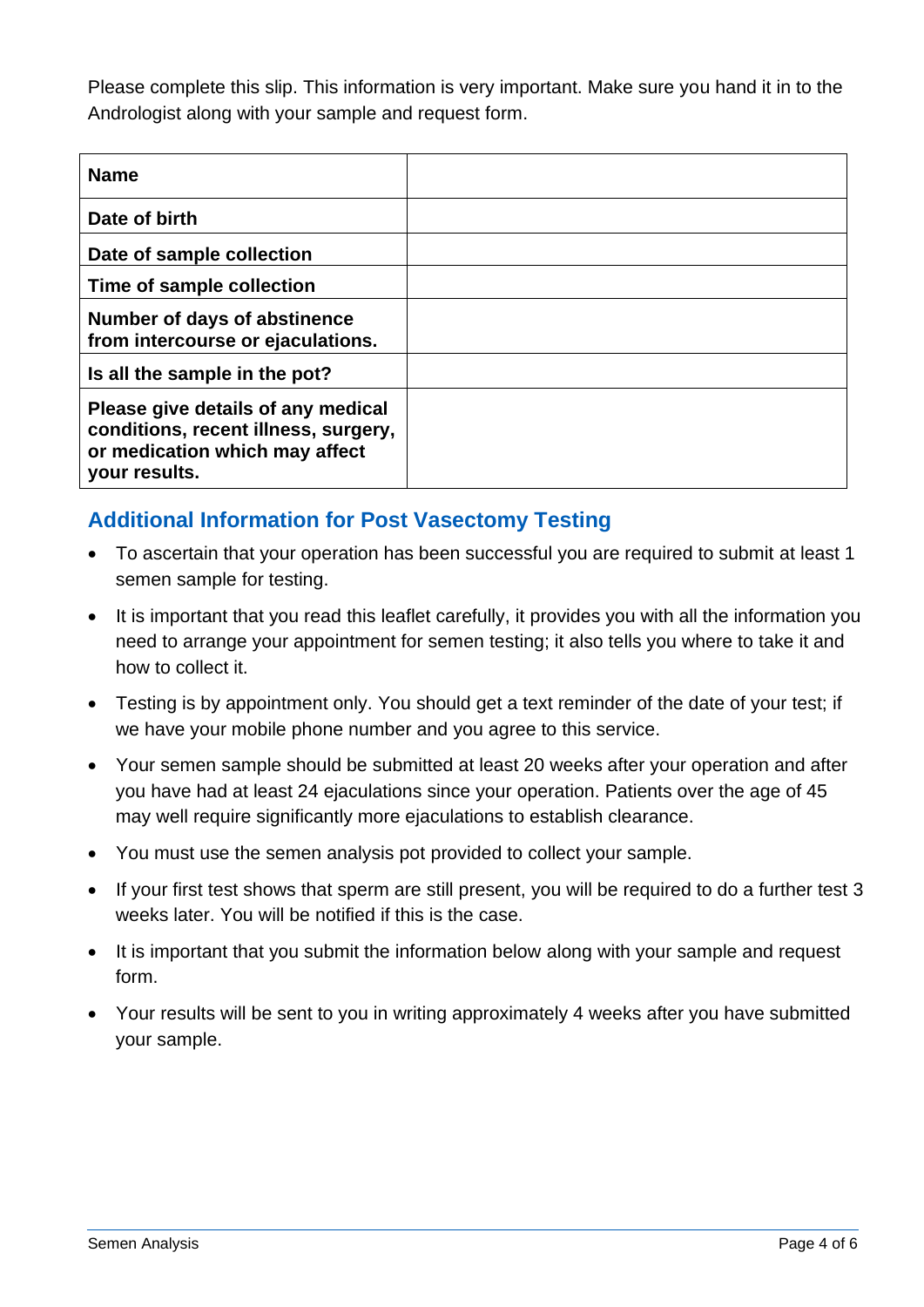Please complete this slip. This information is very important. Make sure you hand it in to the Andrologist along with your sample and request form.

| <b>Name</b>                                                                                                                   |  |
|-------------------------------------------------------------------------------------------------------------------------------|--|
| Date of birth                                                                                                                 |  |
| Date of sample collection                                                                                                     |  |
| Time of sample collection                                                                                                     |  |
| Number of days of abstinence<br>from intercourse or ejaculations.                                                             |  |
| Is all the sample in the pot?                                                                                                 |  |
| Please give details of any medical<br>conditions, recent illness, surgery,<br>or medication which may affect<br>your results. |  |

## **Additional Information for Post Vasectomy Testing**

- To ascertain that your operation has been successful you are required to submit at least 1 semen sample for testing.
- It is important that you read this leaflet carefully, it provides you with all the information you need to arrange your appointment for semen testing; it also tells you where to take it and how to collect it.
- Testing is by appointment only. You should get a text reminder of the date of your test; if we have your mobile phone number and you agree to this service.
- Your semen sample should be submitted at least 20 weeks after your operation and after you have had at least 24 ejaculations since your operation. Patients over the age of 45 may well require significantly more ejaculations to establish clearance.
- You must use the semen analysis pot provided to collect your sample.
- If your first test shows that sperm are still present, you will be required to do a further test 3 weeks later. You will be notified if this is the case.
- It is important that you submit the information below along with your sample and request form.
- Your results will be sent to you in writing approximately 4 weeks after you have submitted your sample.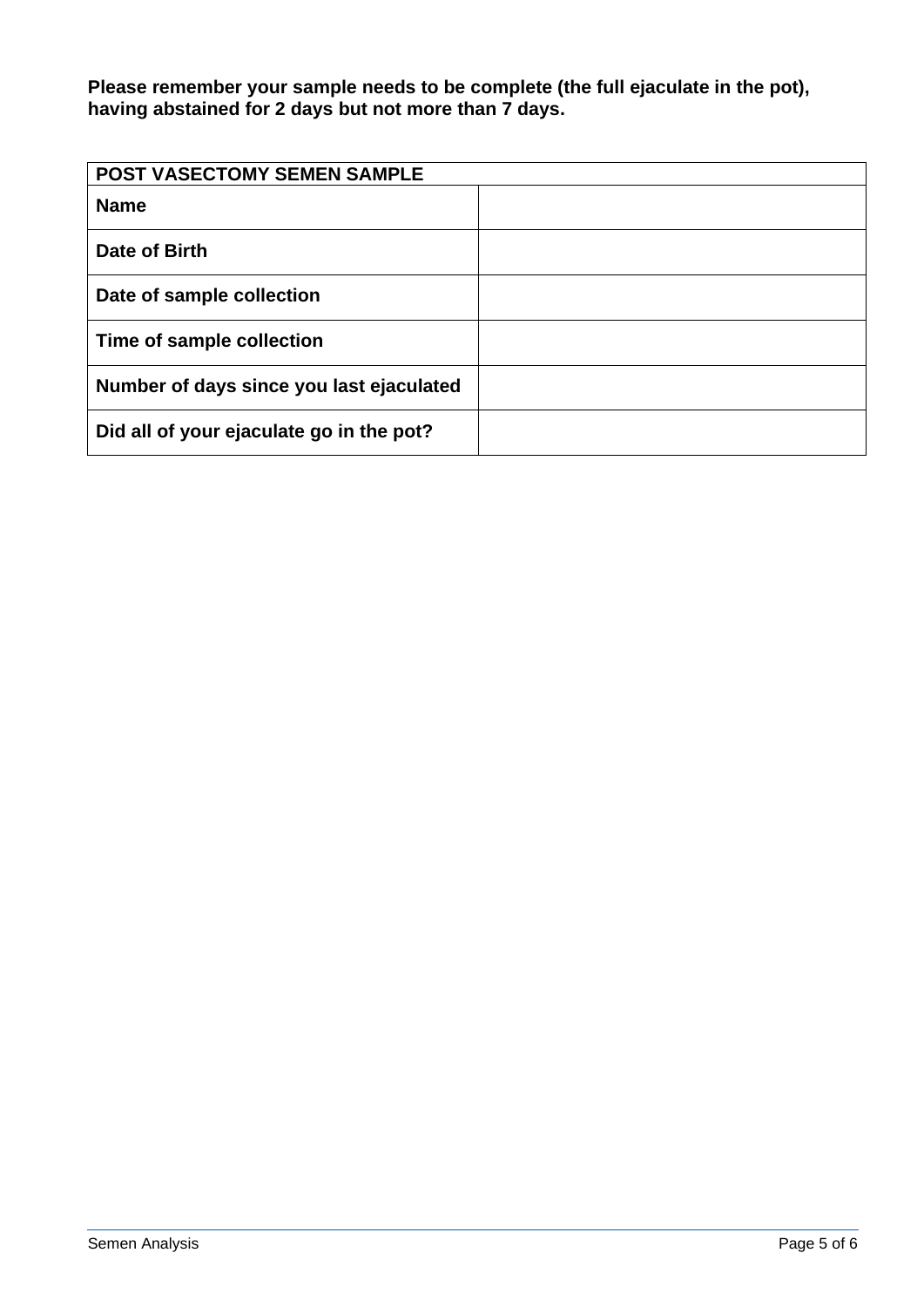**Please remember your sample needs to be complete (the full ejaculate in the pot), having abstained for 2 days but not more than 7 days.**

| <b>POST VASECTOMY SEMEN SAMPLE</b>       |  |
|------------------------------------------|--|
| <b>Name</b>                              |  |
| Date of Birth                            |  |
| Date of sample collection                |  |
| Time of sample collection                |  |
| Number of days since you last ejaculated |  |
| Did all of your ejaculate go in the pot? |  |